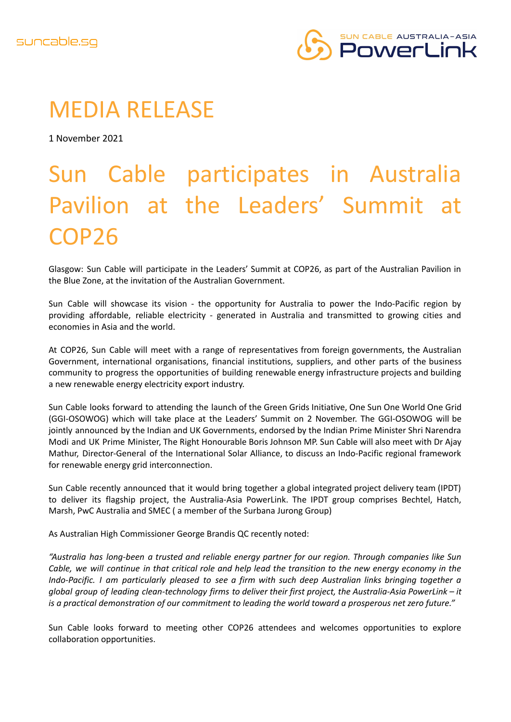

## MEDIA RELEASE

1 November 2021

# Sun Cable participates in Australia Pavilion at the Leaders' Summit at COP26

Glasgow: Sun Cable will participate in the Leaders' Summit at COP26, as part of the Australian Pavilion in the Blue Zone, at the invitation of the Australian Government.

Sun Cable will showcase its vision - the opportunity for Australia to power the Indo-Pacific region by providing affordable, reliable electricity - generated in Australia and transmitted to growing cities and economies in Asia and the world.

At COP26, Sun Cable will meet with a range of representatives from foreign governments, the Australian Government, international organisations, financial institutions, suppliers, and other parts of the business community to progress the opportunities of building renewable energy infrastructure projects and building a new renewable energy electricity export industry.

Sun Cable looks forward to attending the launch of the Green Grids Initiative, One Sun One World One Grid (GGI-OSOWOG) which will take place at the Leaders' Summit on 2 November. The GGI-OSOWOG will be jointly announced by the Indian and UK Governments, endorsed by the Indian Prime Minister Shri Narendra Modi and UK Prime Minister, The Right Honourable Boris Johnson MP. Sun Cable will also meet with Dr Ajay Mathur, Director-General of the International Solar Alliance, to discuss an Indo-Pacific regional framework for renewable energy grid interconnection.

Sun Cable recently announced that it would bring together a global integrated project delivery team (IPDT) to deliver its flagship project, the Australia-Asia PowerLink. The IPDT group comprises Bechtel, Hatch, Marsh, PwC Australia and SMEC ( a member of the Surbana Jurong Group)

As Australian High Commissioner George Brandis QC recently noted:

*"Australia has long-been a trusted and reliable energy partner for our region. Through companies like Sun* Cable, we will continue in that critical role and help lead the transition to the new energy economy in the *Indo-Pacific. I am particularly pleased to see a firm with such deep Australian links bringing together a global group of leading clean-technology firms to deliver their first project, the Australia-Asia PowerLink – it is a practical demonstration of our commitment to leading the world toward a prosperous net zero future."*

Sun Cable looks forward to meeting other COP26 attendees and welcomes opportunities to explore collaboration opportunities.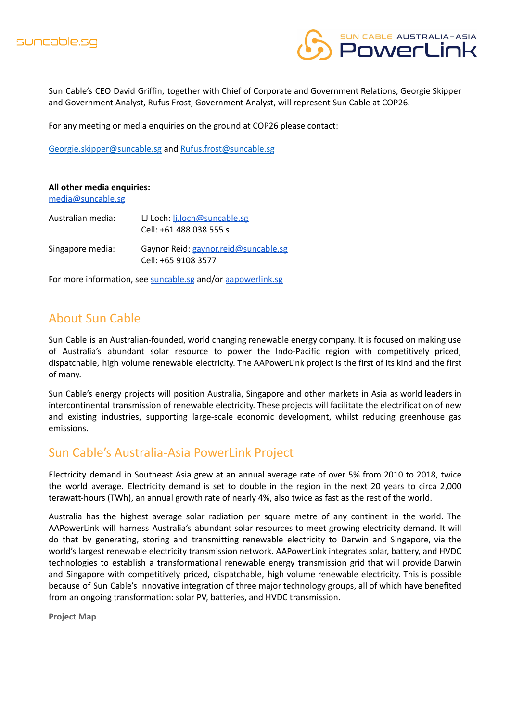

Sun Cable's CEO David Griffin, together with Chief of Corporate and Government Relations, Georgie Skipper and Government Analyst, Rufus Frost, Government Analyst, will represent Sun Cable at COP26.

For any meeting or media enquiries on the ground at COP26 please contact:

[Georgie.skipper@suncable.sg](mailto:Georgie.skipper@suncable.sg) and [Rufus.frost@suncable.sg](mailto:Rufus.frost@suncable.sg)

#### **All other media enquiries:**

[media@suncable.sg](mailto:media@suncable.sg)

| Australian media: | LJ Loch: <i>L.loch@suncable.sg</i><br>Cell: +61 488 038 555 s |
|-------------------|---------------------------------------------------------------|
| Singapore media:  | Gaynor Reid: gaynor.reid@suncable.sg<br>Cell: +65 9108 3577   |

For more information, see [suncable.sg](http://www.suncable.sg) and/or [aapowerlink.sg](http://www.aapowerlink.sg)

## About Sun Cable

Sun Cable is an Australian-founded, world changing renewable energy company. It is focused on making use of Australia's abundant solar resource to power the Indo-Pacific region with competitively priced, dispatchable, high volume renewable electricity. The AAPowerLink project is the first of its kind and the first of many.

Sun Cable's energy projects will position Australia, Singapore and other markets in Asia as world leaders in intercontinental transmission of renewable electricity. These projects will facilitate the electrification of new and existing industries, supporting large-scale economic development, whilst reducing greenhouse gas emissions.

### Sun Cable's Australia-Asia PowerLink Project

Electricity demand in Southeast Asia grew at an annual average rate of over 5% from 2010 to 2018, twice the world average. Electricity demand is set to double in the region in the next 20 years to circa 2,000 terawatt-hours (TWh), an annual growth rate of nearly 4%, also twice as fast as the rest of the world.

Australia has the highest average solar radiation per square metre of any continent in the world. The AAPowerLink will harness Australia's abundant solar resources to meet growing electricity demand. It will do that by generating, storing and transmitting renewable electricity to Darwin and Singapore, via the world's largest renewable electricity transmission network. AAPowerLink integrates solar, battery, and HVDC technologies to establish a transformational renewable energy transmission grid that will provide Darwin and Singapore with competitively priced, dispatchable, high volume renewable electricity. This is possible because of Sun Cable's innovative integration of three major technology groups, all of which have benefited from an ongoing transformation: solar PV, batteries, and HVDC transmission.

**Project Map**